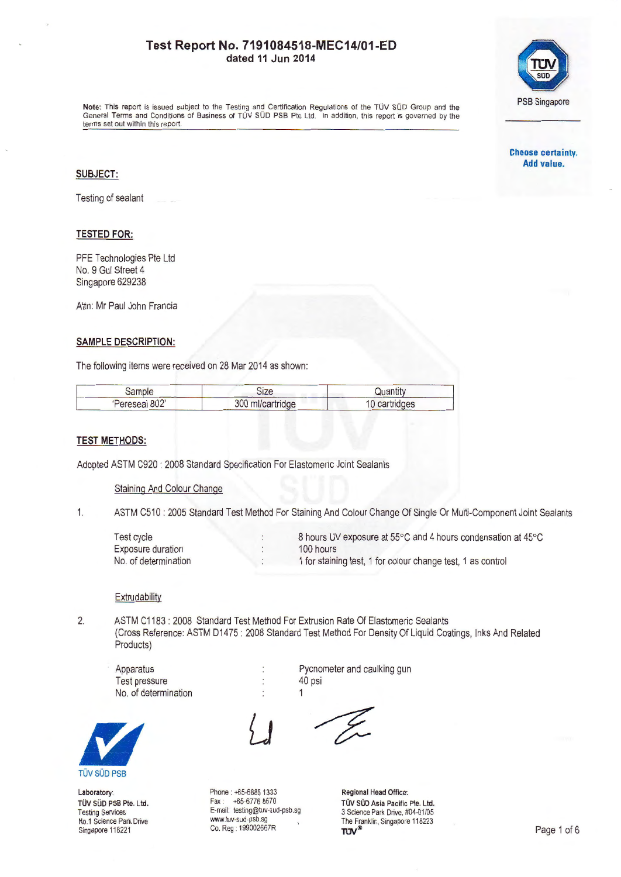

Note: This report is issued subject to the Testing and Certification Regulations of the TOV SOD Group and the General Terms and Conditions of Business of TUV SUD PSB Pte Ltd. In addition, this report is governed by the terms set out within this report.

### **SUBJECT:**

Testing of sealant

### **TESTED FOR:**

PFE Technologies Pte Ltd No. 9 Gul Street 4 Singapore 629238

Attn: Mr Paul John Francia

### **SAMPLE DESCRIPTION:**

The following items were received on 28 Mar 2014 as shown:

| Sample         | Size             | Quantity      |  |
|----------------|------------------|---------------|--|
| 'Pereseal 802' | 300 ml/cartridge | 10 cartridges |  |

### **TEST METHODS:**

Adopted ASTM C920 : 2008 Standard Specification For Elastomeric Joint Sealants

#### Staining And Colour Change

1. ASTM C510 : 2005 Standard Test Method For Staining And Colour Change Of Single Or Multi-Component Joint Sealants

| <b>Test cycle</b>    | 8 hours UV exposure at 55°C and 4 hours condensation at 45°C |
|----------------------|--------------------------------------------------------------|
| Exposure duration    | 100 hours                                                    |
| No. of determination | 1 for staining test, 1 for colour change test, 1 as control  |

#### **Extrudability**

**TÜV SÜD PSB** 

Laboratory: TÜV SÜD PSB Pte. Ltd. Testing Services No.1 Science Park Drive Singapore 118221

2. ASTM C1183 : 2008 Standard Test Method For Extrusion Rate Of Elastomeric Sealants (Cross Reference: ASTM 01475: 2008 Standard Test Method For Density Of Liquid Coatings, Inks And Related Products)

Apparatus Test pressure No. of determination

Phone: +65-6885 1333 Fax : ~5-6776 8670 E-mail: testing@tuv-sud-psb.sg www.tuv-sud-psb.sg Co. Reg : 1 99002667R

Î,  $\ddot{\cdot}$  Pycnometer and caulking gun 40 psi 1



Regional Head Office: TÜV SÜD Asia Pacific Pte. Ltd. 3 Science Park Drive, #04-01/05 The Franklin, Singapore 118223<br>
TUV<sup>®</sup>

**Choose certainty. Add value.**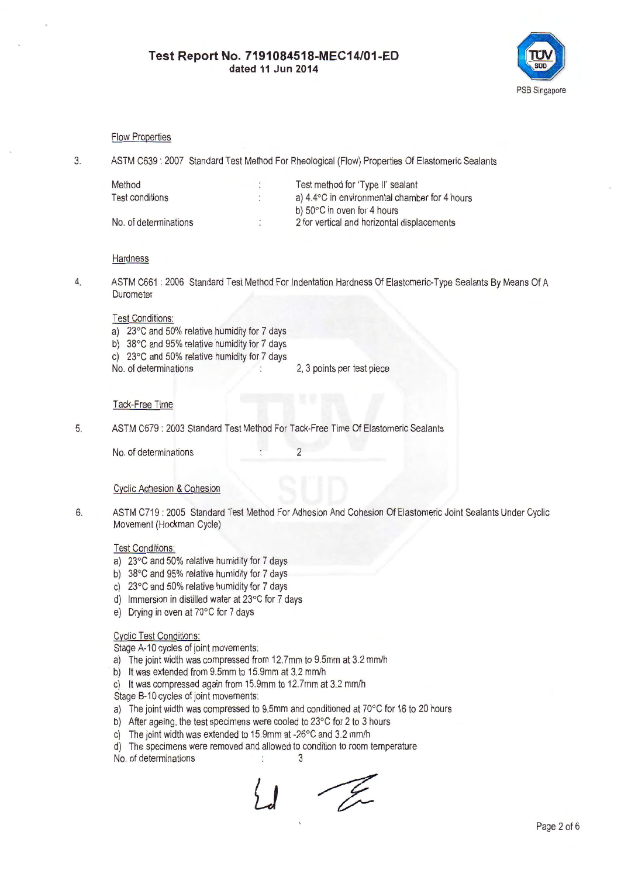

### Flow Properties

3. ASTM C639: 2007 Standard Test Method For Rheological (Flow) Properties Of Elastomeric Sealants

| Method                | $\mathbf{r}$        | Test method for 'Type II' sealant                       |
|-----------------------|---------------------|---------------------------------------------------------|
| Test conditions       | ٠<br>$\overline{a}$ | a) $4.4^{\circ}$ C in environmental chamber for 4 hours |
|                       |                     | b) $50^{\circ}$ C in oven for 4 hours                   |
| No. of determinations |                     | 2 for vertical and horizontal displacements             |
|                       |                     |                                                         |

### **Hardness**

4. ASTM C661 : 2006 Standard Test Method For Indentation Hardness Of Elastomeric-Type Sealants By Means Of A Durometer

### Test Conditions:

- a) 23°C and 50% relative humidity for 7 days
- b) 38°C and 95% relative humidity for 7 days
- c)  $23^{\circ}$ C and 50% relative humidity for 7 days<br>No. of determinations
- 2, 3 points per test piece

### Tack-Free Time

5. ASTM C679 : 2003 Standard Test Method For Tack-Free Time Of Elastomeric Sealants

No. of determinations 2

### Cyclic Adhesion & Cohesion

6. ASTM C719 : 2005 Standard Test Method For Adhesion And Cohesion Of Elastomeric Joint Sealants Under Cyclic Movement (Hockman Cycle)

## Test Conditions:

- a) 23°C and 50% relative humidity for 7 days
- b) 38°C and 95% relative humidity for 7 days
- c) 23°C and 50% relative humidity for 7 days
- d) Immersion in distilled water at 23°C for 7 days
- e) Drying in oven at 70°C for 7 days

## Cyclic Test Conditions:

Stage A-10 cycles of joint movements:

- a) The joint width was compressed from 12.7mm to 9.5mm at 3.2 mm/h
- b) It was extended from 9.5mm to 15.9mm at 3.2 mm/h
- c) It was compressed again from 15.9mm to 12.7mm at 3.2 mm/h

Stage 8-10 cycles of joint movements:

- a) The joint width was compressed to 9.5mm and conditioned at 70°C for 16 to 20 hours
- b) After ageing, the test specimens were cooled to 23°C for 2 to 3 hours
- c) The joint width was extended to 15.9mm at -26°C and 3.2 mm/h
- d) The specimens were removed and allowed to condition to room temperature
- No. of determinations 3

- Er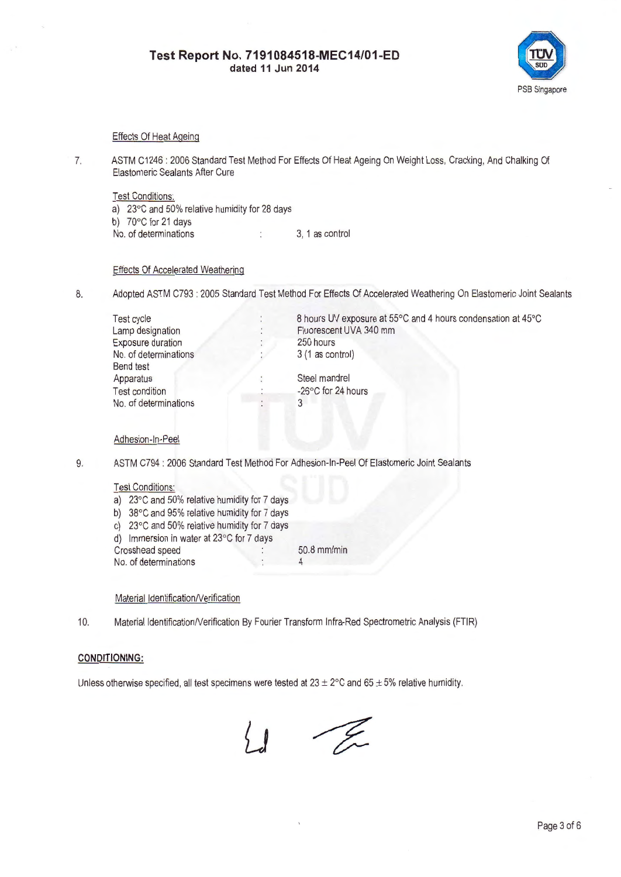

## Effects Of Heat Ageing

7. ASTM C1246 : 2006 Standard Test Method For Effects Of Heat Ageing On Weight Loss, Cracking, And Chalking Of Elastomeric Sealants After Cure

Test Conditions:

a) 23°C and 50% relative humidity for 28 days b) 70°C for 21 days No. of determinations 3, 1 as control

## Effects Of Accelerated Weathering

8. Adopted ASTM C793 : 2005 Standard Test Method For Effects Of Accelerated Weathering On Elastomeric Joint Sealants

| <b>Test cycle</b>        | 8 hours UV exposure at 55°C and 4 hours condensation at 45°C |
|--------------------------|--------------------------------------------------------------|
| Lamp designation         | Fluorescent UVA 340 mm                                       |
| <b>Exposure duration</b> | 250 hours                                                    |
| No. of determinations    | $3(1$ as control)                                            |
| <b>Bend test</b>         |                                                              |
| Apparatus                | Steel mandrel                                                |
| <b>Test condition</b>    | -26°C for 24 hours                                           |
| No. of determinations    |                                                              |

### Adhesion-In-Peel

9. ASTM C794 : 2006 Standard Test Method For Adhesion-In-Peel Of Elastomeric Joint Sealants

### Test Conditions:

- a) 23°C and 50% relative humidity for 7 days
- b) 38°C and 95% relative humidity for 7 days
- c) 23°C and 50% relative humidity for 7 days
- d) Immersion in water at 23°C for 7 days
- Crosshead speed 50.8 mm/min No. of determinations  $\qquad \qquad$  : 4

## Material Identification/Verification

10. Material Identification/Verification By Fourier Transform Infra-Red Spectrometric Analysis (FTIR)

## **CONDITIONING:**

Unless otherwise specified, all test specimens were tested at  $23 \pm 2^{\circ}$ C and  $65 \pm 5$ % relative humidity.

 $\frac{1}{2}$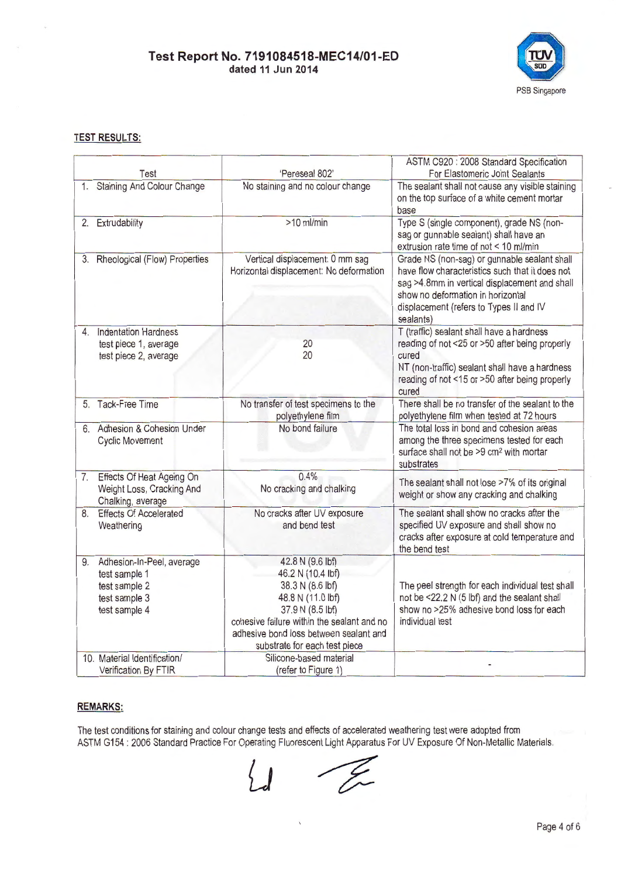

## **TEST RESULTS:**

|    |                                                                                               |                                                                                                                                                                                                                             | ASTM C920 : 2008 Standard Specification                                                                                                                                                                                                       |
|----|-----------------------------------------------------------------------------------------------|-----------------------------------------------------------------------------------------------------------------------------------------------------------------------------------------------------------------------------|-----------------------------------------------------------------------------------------------------------------------------------------------------------------------------------------------------------------------------------------------|
|    | Test                                                                                          | 'Pereseal 802'                                                                                                                                                                                                              | For Elastomeric Joint Sealants                                                                                                                                                                                                                |
|    | 1. Staining And Colour Change                                                                 | No staining and no colour change                                                                                                                                                                                            | The sealant shall not cause any visible staining<br>on the top surface of a white cement mortar<br>base                                                                                                                                       |
|    | 2. Extrudability                                                                              | $>10$ ml/min                                                                                                                                                                                                                | Type S (single component), grade NS (non-<br>sag or gunnable sealant) shall have an<br>extrusion rate time of not < 10 ml/min                                                                                                                 |
|    | 3. Rheological (Flow) Properties                                                              | Vertical displacement: 0 mm sag<br>Horizontal displacement: No deformation                                                                                                                                                  | Grade NS (non-sag) or gunnable sealant shall<br>have flow characteristics such that it does not<br>sag >4.8mm in vertical displacement and shall<br>show no deformation in horizontal<br>displacement (refers to Types II and IV<br>sealants) |
|    | 4. Indentation Hardness<br>test piece 1, average<br>test piece 2, average                     | 20<br>20                                                                                                                                                                                                                    | T (traffic) sealant shall have a hardness<br>reading of not <25 or >50 after being properly<br>cured<br>NT (non-traffic) sealant shall have a hardness<br>reading of not <15 or >50 after being properly<br>cured                             |
|    | 5. Tack-Free Time                                                                             | No transfer of test specimens to the<br>polyethylene film                                                                                                                                                                   | There shall be no transfer of the sealant to the<br>polyethylene film when tested at 72 hours                                                                                                                                                 |
|    | 6. Adhesion & Cohesion Under<br><b>Cyclic Movement</b>                                        | No bond failure                                                                                                                                                                                                             | The total loss in bond and cohesion areas<br>among the three specimens tested for each<br>surface shall not be >9 cm <sup>2</sup> with mortar<br>substrates                                                                                   |
| 7. | Effects Of Heat Ageing On<br>Weight Loss, Cracking And<br>Chalking, average                   | 0.4%<br>No cracking and chalking                                                                                                                                                                                            | The sealant shall not lose >7% of its original<br>weight or show any cracking and chalking                                                                                                                                                    |
| 8. | <b>Effects Of Accelerated</b><br>Weathering                                                   | No cracks after UV exposure<br>and bend test                                                                                                                                                                                | The sealant shall show no cracks after the<br>specified UV exposure and shall show no<br>cracks after exposure at cold temperature and<br>the bend test                                                                                       |
| 9. | Adhesion-In-Peel, average<br>test sample 1<br>test sample 2<br>test sample 3<br>test sample 4 | 42.8 N (9.6 lbf)<br>46.2 N (10.4 lbf)<br>38.3 N (8.6 lbf)<br>48.8 N (11.0 lbf)<br>37.9 N (8.5 lbf)<br>cohesive failure within the sealant and no<br>adhesive bond loss between sealant and<br>substrate for each test piece | The peel strength for each individual test shall<br>not be <22.2 N (5 lbf) and the sealant shall<br>show no >25% adhesive bond loss for each<br>individual test                                                                               |
|    | 10. Material Identification/<br>Verification By FTIR                                          | Silicone-based material<br>(refer to Figure 1)                                                                                                                                                                              |                                                                                                                                                                                                                                               |

## **REMARKS:**

The test conditions for staining and colour change tests and effects of accelerated weathering test were adopted from ASTM G154 : 2006 Standard Practice For Operating Fluorescent Light Apparatus For UV Exposure Of Non-Metallic Materials.

- T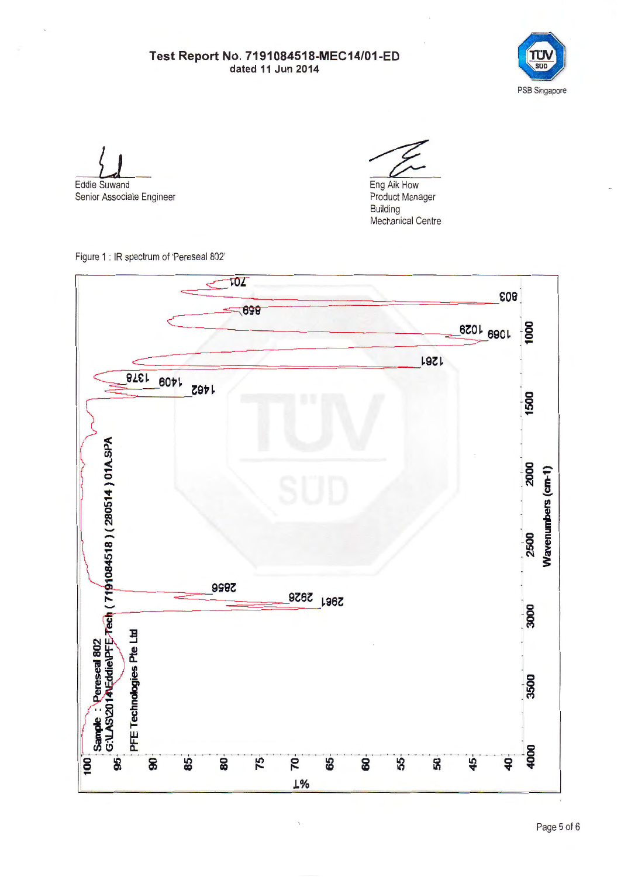

Eddie Suwand Senior Associate Engineer

Eng Aik How Product Manager Building

Mechanical Centre